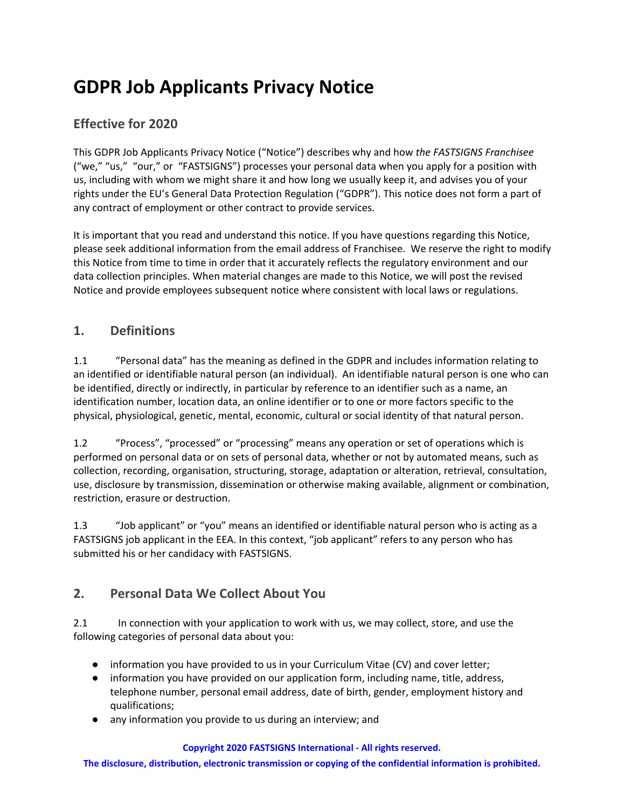# **GDPR Job Applicants Privacy Notice**

# **Effective for 2020**

This GDPR Job Applicants Privacy Notice ("Notice") describes why and how *the FASTSIGNS Franchisee* ("we," "us," "our," or "FASTSIGNS") processes your personal data when you apply for a position with us, including with whom we might share it and how long we usually keep it, and advises you of your rights under the EU's General Data Protection Regulation ("GDPR"). This notice does not form a part of any contract of employment or other contract to provide services.

It is important that you read and understand this notice. If you have questions regarding this Notice, please seek additional information from the email address of Franchisee. We reserve the right to modify this Notice from time to time in order that it accurately reflects the regulatory environment and our data collection principles. When material changes are made to this Notice, we will post the revised Notice and provide employees subsequent notice where consistent with local laws or regulations.

### **1. Definitions**

1.1 "Personal data" has the meaning as defined in the GDPR and includes information relating to an identified or identifiable natural person (an individual). An identifiable natural person is one who can be identified, directly or indirectly, in particular by reference to an identifier such as a name, an identification number, location data, an online identifier or to one or more factors specific to the physical, physiological, genetic, mental, economic, cultural or social identity of that natural person.

1.2 "Process", "processed" or "processing" means any operation or set of operations which is performed on personal data or on sets of personal data, whether or not by automated means, such as collection, recording, organisation, structuring, storage, adaptation or alteration, retrieval, consultation, use, disclosure by transmission, dissemination or otherwise making available, alignment or combination, restriction, erasure or destruction.

1.3 "Job applicant" or "you" means an identified or identifiable natural person who is acting as a FASTSIGNS job applicant in the EEA. In this context, "job applicant" refers to any person who has submitted his or her candidacy with FASTSIGNS.

# **2. Personal Data We Collect About You**

2.1 In connection with your application to work with us, we may collect, store, and use the following categories of personal data about you:

- information you have provided to us in your Curriculum Vitae (CV) and cover letter;
- information you have provided on our application form, including name, title, address, telephone number, personal email address, date of birth, gender, employment history and qualifications;
- any information you provide to us during an interview; and

#### **Copyright 2020 FASTSIGNS International - All rights reserved.**

**The disclosure, distribution, electronic transmission or copying of the confidential information is prohibited.**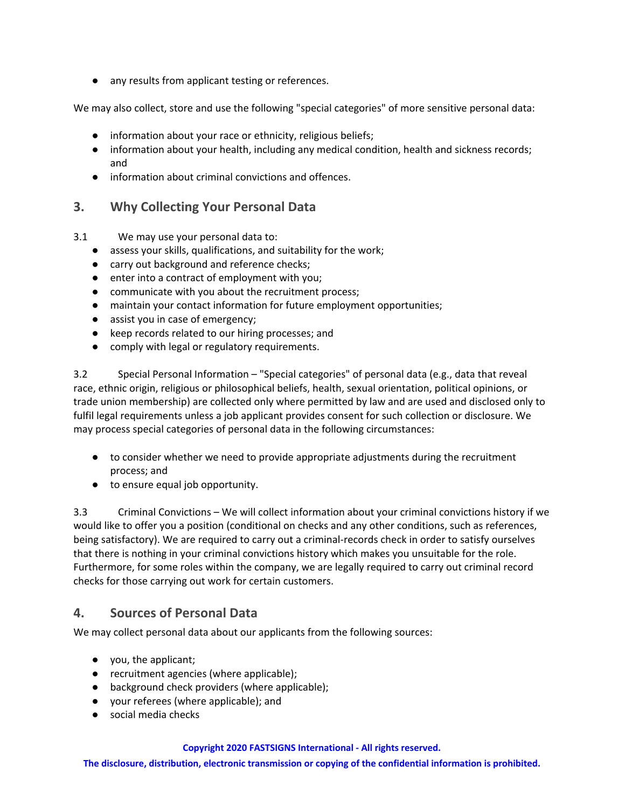● any results from applicant testing or references.

We may also collect, store and use the following "special categories" of more sensitive personal data:

- information about your race or ethnicity, religious beliefs;
- information about your health, including any medical condition, health and sickness records; and
- information about criminal convictions and offences.

#### **3. Why Collecting Your Personal Data**

3.1 We may use your personal data to:

- assess your skills, qualifications, and suitability for the work;
- carry out background and reference checks;
- enter into a contract of employment with you;
- communicate with you about the recruitment process;
- maintain your contact information for future employment opportunities;
- assist you in case of emergency;
- keep records related to our hiring processes; and
- comply with legal or regulatory requirements.

3.2 Special Personal Information – "Special categories" of personal data (e.g., data that reveal race, ethnic origin, religious or philosophical beliefs, health, sexual orientation, political opinions, or trade union membership) are collected only where permitted by law and are used and disclosed only to fulfil legal requirements unless a job applicant provides consent for such collection or disclosure. We may process special categories of personal data in the following circumstances:

- to consider whether we need to provide appropriate adjustments during the recruitment process; and
- to ensure equal job opportunity.

3.3 Criminal Convictions – We will collect information about your criminal convictions history if we would like to offer you a position (conditional on checks and any other conditions, such as references, being satisfactory). We are required to carry out a criminal-records check in order to satisfy ourselves that there is nothing in your criminal convictions history which makes you unsuitable for the role. Furthermore, for some roles within the company, we are legally required to carry out criminal record checks for those carrying out work for certain customers.

#### **4. Sources of Personal Data**

We may collect personal data about our applicants from the following sources:

- you, the applicant;
- recruitment agencies (where applicable);
- background check providers (where applicable);
- your referees (where applicable); and
- social media checks

#### **Copyright 2020 FASTSIGNS International - All rights reserved.**

**The disclosure, distribution, electronic transmission or copying of the confidential information is prohibited.**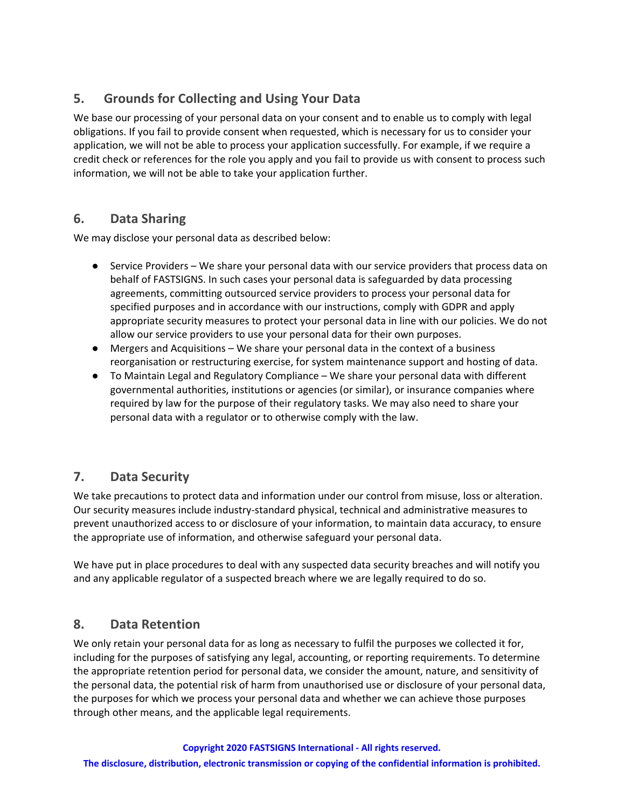# **5. Grounds for Collecting and Using Your Data**

We base our processing of your personal data on your consent and to enable us to comply with legal obligations. If you fail to provide consent when requested, which is necessary for us to consider your application, we will not be able to process your application successfully. For example, if we require a credit check or references for the role you apply and you fail to provide us with consent to process such information, we will not be able to take your application further.

### **6. Data Sharing**

We may disclose your personal data as described below:

- Service Providers We share your personal data with our service providers that process data on behalf of FASTSIGNS. In such cases your personal data is safeguarded by data processing agreements, committing outsourced service providers to process your personal data for specified purposes and in accordance with our instructions, comply with GDPR and apply appropriate security measures to protect your personal data in line with our policies. We do not allow our service providers to use your personal data for their own purposes.
- Mergers and Acquisitions We share your personal data in the context of a business reorganisation or restructuring exercise, for system maintenance support and hosting of data.
- To Maintain Legal and Regulatory Compliance We share your personal data with different governmental authorities, institutions or agencies (or similar), or insurance companies where required by law for the purpose of their regulatory tasks. We may also need to share your personal data with a regulator or to otherwise comply with the law.

### **7. Data Security**

We take precautions to protect data and information under our control from misuse, loss or alteration. Our security measures include industry-standard physical, technical and administrative measures to prevent unauthorized access to or disclosure of your information, to maintain data accuracy, to ensure the appropriate use of information, and otherwise safeguard your personal data.

We have put in place procedures to deal with any suspected data security breaches and will notify you and any applicable regulator of a suspected breach where we are legally required to do so.

### **8. Data Retention**

We only retain your personal data for as long as necessary to fulfil the purposes we collected it for, including for the purposes of satisfying any legal, accounting, or reporting requirements. To determine the appropriate retention period for personal data, we consider the amount, nature, and sensitivity of the personal data, the potential risk of harm from unauthorised use or disclosure of your personal data, the purposes for which we process your personal data and whether we can achieve those purposes through other means, and the applicable legal requirements.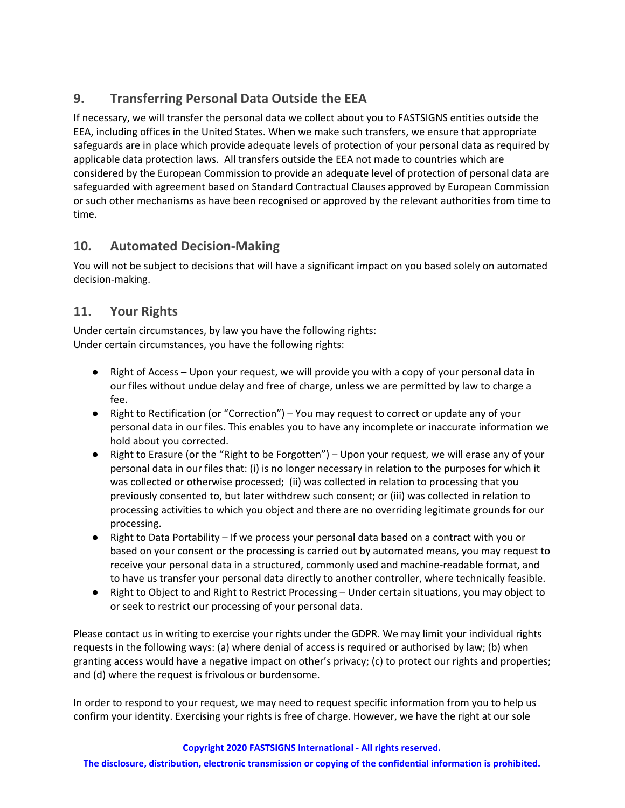# **9. Transferring Personal Data Outside the EEA**

If necessary, we will transfer the personal data we collect about you to FASTSIGNS entities outside the EEA, including offices in the United States. When we make such transfers, we ensure that appropriate safeguards are in place which provide adequate levels of protection of your personal data as required by applicable data protection laws. All transfers outside the EEA not made to countries which are considered by the European Commission to provide an adequate level of protection of personal data are safeguarded with agreement based on Standard Contractual Clauses approved by European Commission or such other mechanisms as have been recognised or approved by the relevant authorities from time to time.

# **10. Automated Decision-Making**

You will not be subject to decisions that will have a significant impact on you based solely on automated decision-making.

# **11. Your Rights**

Under certain circumstances, by law you have the following rights: Under certain circumstances, you have the following rights:

- Right of Access Upon your request, we will provide you with a copy of your personal data in our files without undue delay and free of charge, unless we are permitted by law to charge a fee.
- Right to Rectification (or "Correction") You may request to correct or update any of your personal data in our files. This enables you to have any incomplete or inaccurate information we hold about you corrected.
- Right to Erasure (or the "Right to be Forgotten") Upon your request, we will erase any of your personal data in our files that: (i) is no longer necessary in relation to the purposes for which it was collected or otherwise processed; (ii) was collected in relation to processing that you previously consented to, but later withdrew such consent; or (iii) was collected in relation to processing activities to which you object and there are no overriding legitimate grounds for our processing.
- Right to Data Portability If we process your personal data based on a contract with you or based on your consent or the processing is carried out by automated means, you may request to receive your personal data in a structured, commonly used and machine-readable format, and to have us transfer your personal data directly to another controller, where technically feasible.
- Right to Object to and Right to Restrict Processing Under certain situations, you may object to or seek to restrict our processing of your personal data.

Please contact us in writing to exercise your rights under the GDPR. We may limit your individual rights requests in the following ways: (a) where denial of access is required or authorised by law; (b) when granting access would have a negative impact on other's privacy; (c) to protect our rights and properties; and (d) where the request is frivolous or burdensome.

In order to respond to your request, we may need to request specific information from you to help us confirm your identity. Exercising your rights is free of charge. However, we have the right at our sole

#### **Copyright 2020 FASTSIGNS International - All rights reserved.**

**The disclosure, distribution, electronic transmission or copying of the confidential information is prohibited.**